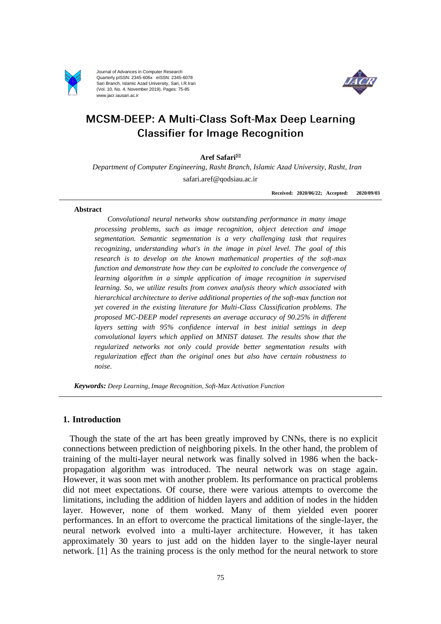

Journal of Advances in Computer Research Quarterly pISSN: 2345-606x eISSN: 2345-6078 Sari Branch, Islamic Azad University, Sari, I.R.Iran (Vol. 10, No. 4, November 2019), Pages: 75-85 www.jacr.iausari.ac.ir



# MCSM-DEEP: A Multi-Class Soft-Max Deep Learning **Classifier for Image Recognition**

## **Aref Safari**

*Department of Computer Engineering, Rasht Branch, Islamic Azad University, Rasht, Iran* safari.aref@qodsiau.ac.ir

**Received: 2020/06/22; Accepted: 2020/09/03**

#### **Abstract**

*Convolutional neural networks show outstanding performance in many image processing problems, such as image recognition, object detection and image segmentation. Semantic segmentation is a very challenging task that requires recognizing, understanding what's in the image in pixel level. The goal of this research is to develop on the known mathematical properties of the soft-max function and demonstrate how they can be exploited to conclude the convergence of learning algorithm in a simple application of image recognition in supervised learning. So, we utilize results from convex analysis theory which associated with hierarchical architecture to derive additional properties of the soft-max function not yet covered in the existing literature for Multi-Class Classification problems. The proposed MC-DEEP model represents an average accuracy of 90.25% in different layers setting with 95% confidence interval in best initial settings in deep convolutional layers which applied on MNIST dataset. The results show that the regularized networks not only could provide better segmentation results with regularization effect than the original ones but also have certain robustness to noise.*

*Keywords: Deep Learning, Image Recognition, Soft-Max Activation Function*

# **1. Introduction**

Though the state of the art has been greatly improved by CNNs, there is no explicit connections between prediction of neighboring pixels. In the other hand, the problem of training of the multi-layer neural network was finally solved in 1986 when the backpropagation algorithm was introduced. The neural network was on stage again. However, it was soon met with another problem. Its performance on practical problems did not meet expectations. Of course, there were various attempts to overcome the limitations, including the addition of hidden layers and addition of nodes in the hidden layer. However, none of them worked. Many of them yielded even poorer performances. In an effort to overcome the practical limitations of the single-layer, the neural network evolved into a multi-layer architecture. However, it has taken approximately 30 years to just add on the hidden layer to the single-layer neural network. [1] As the training process is the only method for the neural network to store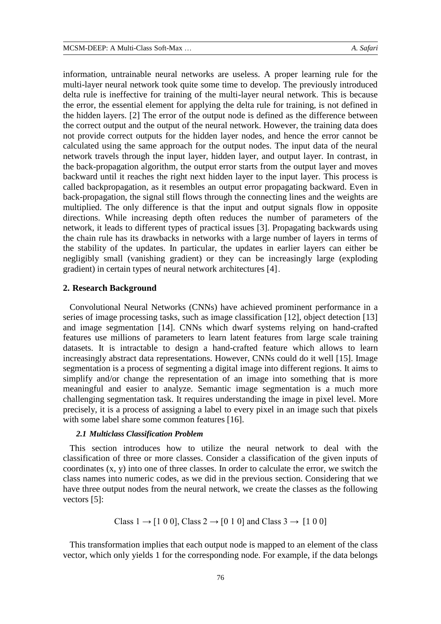information, untrainable neural networks are useless. A proper learning rule for the multi-layer neural network took quite some time to develop. The previously introduced delta rule is ineffective for training of the multi-layer neural network. This is because the error, the essential element for applying the delta rule for training, is not defined in the hidden layers. [2] The error of the output node is defined as the difference between the correct output and the output of the neural network. However, the training data does not provide correct outputs for the hidden layer nodes, and hence the error cannot be calculated using the same approach for the output nodes. The input data of the neural network travels through the input layer, hidden layer, and output layer. In contrast, in the back-propagation algorithm, the output error starts from the output layer and moves backward until it reaches the right next hidden layer to the input layer. This process is called backpropagation, as it resembles an output error propagating backward. Even in back-propagation, the signal still flows through the connecting lines and the weights are multiplied. The only difference is that the input and output signals flow in opposite directions. While increasing depth often reduces the number of parameters of the network, it leads to different types of practical issues [3]. Propagating backwards using the chain rule has its drawbacks in networks with a large number of layers in terms of the stability of the updates. In particular, the updates in earlier layers can either be negligibly small (vanishing gradient) or they can be increasingly large (exploding gradient) in certain types of neural network architectures [4].

## **2. Research Background**

Convolutional Neural Networks (CNNs) have achieved prominent performance in a series of image processing tasks, such as image classification [12], object detection [13] and image segmentation [14]. CNNs which dwarf systems relying on hand-crafted features use millions of parameters to learn latent features from large scale training datasets. It is intractable to design a hand-crafted feature which allows to learn increasingly abstract data representations. However, CNNs could do it well [15]. Image segmentation is a process of segmenting a digital image into different regions. It aims to simplify and/or change the representation of an image into something that is more meaningful and easier to analyze. Semantic image segmentation is a much more challenging segmentation task. It requires understanding the image in pixel level. More precisely, it is a process of assigning a label to every pixel in an image such that pixels with some label share some common features [16].

#### *2.1 Multiclass Classification Problem*

This section introduces how to utilize the neural network to deal with the classification of three or more classes. Consider a classification of the given inputs of coordinates (x, y) into one of three classes. In order to calculate the error, we switch the class names into numeric codes, as we did in the previous section. Considering that we have three output nodes from the neural network, we create the classes as the following vectors [5]:

Class 
$$
1 \rightarrow [1 \ 0 \ 0]
$$
, Class  $2 \rightarrow [0 \ 1 \ 0]$  and Class  $3 \rightarrow [1 \ 0 \ 0]$ 

This transformation implies that each output node is mapped to an element of the class vector, which only yields 1 for the corresponding node. For example, if the data belongs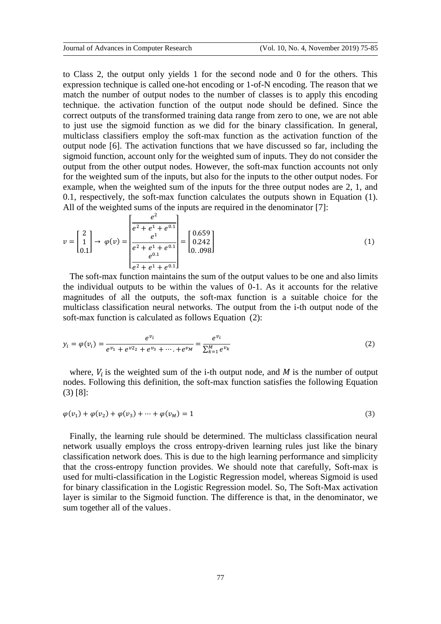to Class 2, the output only yields 1 for the second node and 0 for the others. This expression technique is called one-hot encoding or 1-of-N encoding. The reason that we match the number of output nodes to the number of classes is to apply this encoding technique. the activation function of the output node should be defined. Since the correct outputs of the transformed training data range from zero to one, we are not able to just use the sigmoid function as we did for the binary classification. In general, multiclass classifiers employ the soft-max function as the activation function of the output node [6]. The activation functions that we have discussed so far, including the sigmoid function, account only for the weighted sum of inputs. They do not consider the output from the other output nodes. However, the soft-max function accounts not only for the weighted sum of the inputs, but also for the inputs to the other output nodes. For example, when the weighted sum of the inputs for the three output nodes are 2, 1, and 0.1, respectively, the soft-max function calculates the outputs shown in Equation (1). All of the weighted sums of the inputs are required in the denominator [7]:

$$
v = \begin{bmatrix} 2 \\ 1 \\ 0.1 \end{bmatrix} \rightarrow \varphi(v) = \begin{bmatrix} \frac{e^2}{e^2 + e^1 + e^{0.1}} \\ \frac{e^1}{e^2 + e^1 + e^{0.1}} \\ \frac{e^{0.1}}{e^2 + e^1 + e^{0.1}} \end{bmatrix} = \begin{bmatrix} 0.659 \\ 0.242 \\ 0.098 \end{bmatrix}
$$
 (1)

The soft-max function maintains the sum of the output values to be one and also limits the individual outputs to be within the values of 0-1. As it accounts for the relative magnitudes of all the outputs, the soft-max function is a suitable choice for the multiclass classification neural networks. The output from the i-th output node of the soft-max function is calculated as follows Equation (2):

$$
y_i = \varphi(v_i) = \frac{e^{v_i}}{e^{v_1} + e^{v_2} + e^{v_3} + \dots + e^{v_M}} = \frac{e^{v_i}}{\sum_{k=1}^M e^{v_k}}
$$
(2)

where,  $V_i$  is the weighted sum of the i-th output node, and M is the number of output nodes. Following this definition, the soft-max function satisfies the following Equation (3) [8]:

$$
\varphi(v_1) + \varphi(v_2) + \varphi(v_3) + \dots + \varphi(v_M) = 1
$$
\n(3)

Finally, the learning rule should be determined. The multiclass classification neural network usually employs the cross entropy-driven learning rules just like the binary classification network does. This is due to the high learning performance and simplicity that the cross-entropy function provides. We should note that carefully, Soft-max is used for multi-classification in the Logistic Regression model, whereas Sigmoid is used for binary classification in the Logistic Regression model. So, The Soft-Max activation layer is similar to the Sigmoid function. The difference is that, in the denominator, we sum together all of the values.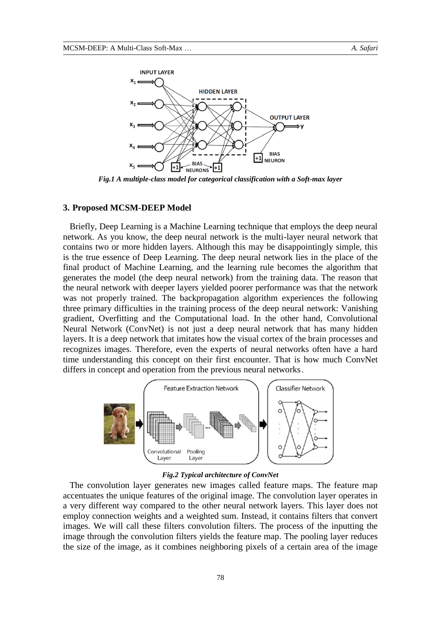

*Fig.1 A multiple-class model for categorical classification with a Soft-max layer*

## **3. Proposed MCSM-DEEP Model**

Briefly, Deep Learning is a Machine Learning technique that employs the deep neural network. As you know, the deep neural network is the multi-layer neural network that contains two or more hidden layers. Although this may be disappointingly simple, this is the true essence of Deep Learning. The deep neural network lies in the place of the final product of Machine Learning, and the learning rule becomes the algorithm that generates the model (the deep neural network) from the training data. The reason that the neural network with deeper layers yielded poorer performance was that the network was not properly trained. The backpropagation algorithm experiences the following three primary difficulties in the training process of the deep neural network: Vanishing gradient, Overfitting and the Computational load. In the other hand, Convolutional Neural Network (ConvNet) is not just a deep neural network that has many hidden layers. It is a deep network that imitates how the visual cortex of the brain processes and recognizes images. Therefore, even the experts of neural networks often have a hard time understanding this concept on their first encounter. That is how much ConvNet differs in concept and operation from the previous neural networks.



### *Fig.2 Typical architecture of ConvNet*

The convolution layer generates new images called feature maps. The feature map accentuates the unique features of the original image. The convolution layer operates in a very different way compared to the other neural network layers. This layer does not employ connection weights and a weighted sum. Instead, it contains filters that convert images. We will call these filters convolution filters. The process of the inputting the image through the convolution filters yields the feature map. The pooling layer reduces the size of the image, as it combines neighboring pixels of a certain area of the image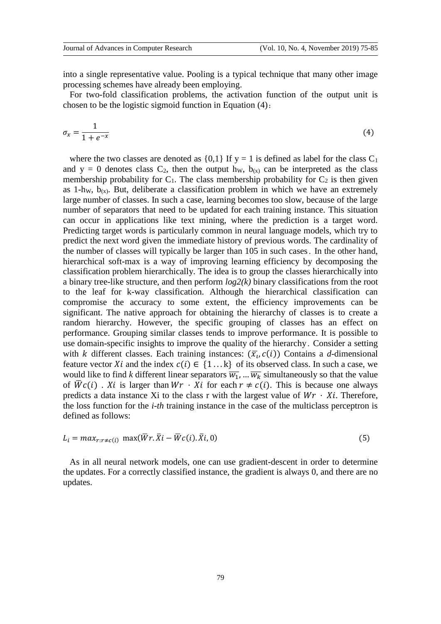into a single representative value. Pooling is a typical technique that many other image processing schemes have already been employing.

For two-fold classification problems, the activation function of the output unit is chosen to be the logistic sigmoid function in Equation (4):

$$
\sigma_x = \frac{1}{1 + e^{-x}}\tag{4}
$$

where the two classes are denoted as  $\{0,1\}$  If y = 1 is defined as label for the class C<sub>1</sub> and  $y = 0$  denotes class  $C_2$ , then the output h<sub>W</sub>,  $b_{(x)}$  can be interpreted as the class membership probability for  $C_1$ . The class membership probability for  $C_2$  is then given as 1-hw,  $b_{(x)}$ . But, deliberate a classification problem in which we have an extremely large number of classes. In such a case, learning becomes too slow, because of the large number of separators that need to be updated for each training instance. This situation can occur in applications like text mining, where the prediction is a target word. Predicting target words is particularly common in neural language models, which try to predict the next word given the immediate history of previous words. The cardinality of the number of classes will typically be larger than 105 in such cases. In the other hand, hierarchical soft-max is a way of improving learning efficiency by decomposing the classification problem hierarchically. The idea is to group the classes hierarchically into a binary tree-like structure, and then perform *log2(k)* binary classifications from the root to the leaf for k-way classification. Although the hierarchical classification can compromise the accuracy to some extent, the efficiency improvements can be significant. The native approach for obtaining the hierarchy of classes is to create a random hierarchy. However, the specific grouping of classes has an effect on performance. Grouping similar classes tends to improve performance. It is possible to use domain-specific insights to improve the quality of the hierarchy. Consider a setting with *k* different classes. Each training instances:  $(\bar{x}_i, c(i))$  Contains a *d*-dimensional feature vector Xi and the index  $c(i) \in \{1...k\}$  of its observed class. In such a case, we would like to find *k* different linear separators  $\overline{w_1}$ , ...  $\overline{w_k}$  simultaneously so that the value of  $\overline{W}c(i)$ . *Xi* is larger than  $Wr \cdot Xi$  for each  $r \neq c(i)$ . This is because one always predicts a data instance Xi to the class r with the largest value of  $Wr \cdot Xi$ . Therefore, the loss function for the *i-th* training instance in the case of the multiclass perceptron is defined as follows:

$$
L_i = \max_{r:r \neq c(i)} \max(\overline{W}r.\overline{X}i - \overline{W}c(i).\overline{X}i, 0)
$$
\n
$$
(5)
$$

As in all neural network models, one can use gradient-descent in order to determine the updates. For a correctly classified instance, the gradient is always 0, and there are no updates.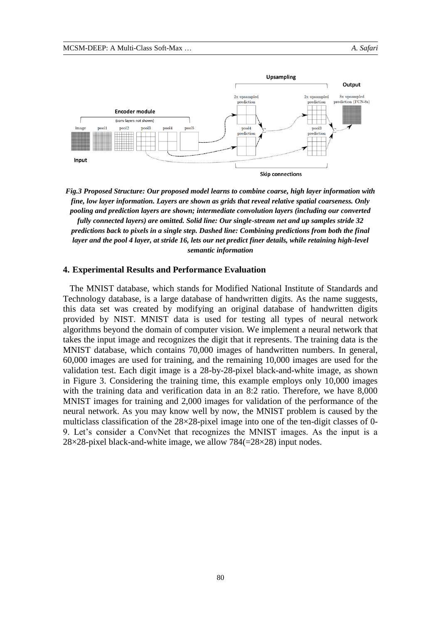

*Fig.3 Proposed Structure: Our proposed model learns to combine coarse, high layer information with fine, low layer information. Layers are shown as grids that reveal relative spatial coarseness. Only pooling and prediction layers are shown; intermediate convolution layers (including our converted fully connected layers) are omitted. Solid line: Our single-stream net and up samples stride 32 predictions back to pixels in a single step. Dashed line: Combining predictions from both the final layer and the pool 4 layer, at stride 16, lets our net predict finer details, while retaining high-level semantic information*

#### **4. Experimental Results and Performance Evaluation**

The MNIST database, which stands for Modified National Institute of Standards and Technology database, is a large database of handwritten digits. As the name suggests, this data set was created by modifying an original database of handwritten digits provided by NIST. MNIST data is used for testing all types of neural network algorithms beyond the domain of computer vision. We implement a neural network that takes the input image and recognizes the digit that it represents. The training data is the MNIST database, which contains 70,000 images of handwritten numbers. In general, 60,000 images are used for training, and the remaining 10,000 images are used for the validation test. Each digit image is a 28-by-28-pixel black-and-white image, as shown in Figure 3. Considering the training time, this example employs only 10,000 images with the training data and verification data in an 8:2 ratio. Therefore, we have 8,000 MNIST images for training and 2,000 images for validation of the performance of the neural network. As you may know well by now, the MNIST problem is caused by the multiclass classification of the  $28\times28$ -pixel image into one of the ten-digit classes of 0-9. Let's consider a ConvNet that recognizes the MNIST images. As the input is a 28×28-pixel black-and-white image, we allow  $784(=28\times28)$  input nodes.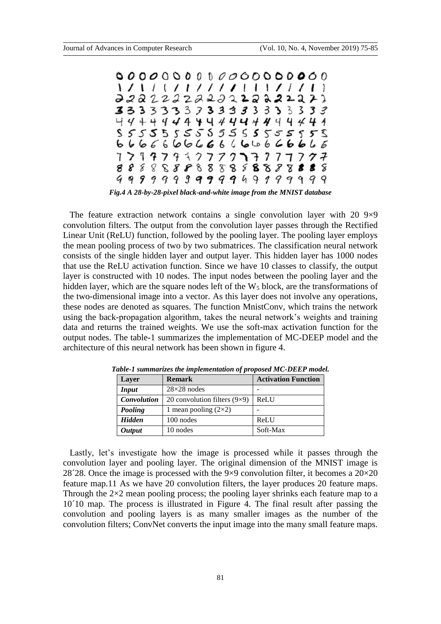

*Fig.4 A 28-by-28-pixel black-and-white image from the MNIST database*

The feature extraction network contains a single convolution layer with 20  $9\times9$ convolution filters. The output from the convolution layer passes through the Rectified Linear Unit (ReLU) function, followed by the pooling layer. The pooling layer employs the mean pooling process of two by two submatrices. The classification neural network consists of the single hidden layer and output layer. This hidden layer has 1000 nodes that use the ReLU activation function. Since we have 10 classes to classify, the output layer is constructed with 10 nodes. The input nodes between the pooling layer and the hidden layer, which are the square nodes left of the  $W<sub>5</sub>$  block, are the transformations of the two-dimensional image into a vector. As this layer does not involve any operations, these nodes are denoted as squares. The function MnistConv, which trains the network using the back-propagation algorithm, takes the neural network's weights and training data and returns the trained weights. We use the soft-max activation function for the output nodes. The table-1 summarizes the implementation of MC-DEEP model and the architecture of this neural network has been shown in figure 4.

| Layer              | <b>Remark</b>                       | <b>Activation Function</b> |  |  |  |  |
|--------------------|-------------------------------------|----------------------------|--|--|--|--|
| <b>Input</b>       | $28\times28$ nodes                  |                            |  |  |  |  |
| <b>Convolution</b> | 20 convolution filters $(9\times9)$ | ReLU                       |  |  |  |  |
| Pooling            | 1 mean pooling $(2\times2)$         |                            |  |  |  |  |
| <b>Hidden</b>      | 100 nodes                           | ReLU                       |  |  |  |  |
| <b>Output</b>      | 10 nodes                            | Soft-Max                   |  |  |  |  |

*Table-1 summarizes the implementation of proposed MC-DEEP model.*

Lastly, let's investigate how the image is processed while it passes through the convolution layer and pooling layer. The original dimension of the MNIST image is 28<sup> $28$ </sup>. Once the image is processed with the 9×9 convolution filter, it becomes a  $20\times20$ feature map.11 As we have 20 convolution filters, the layer produces 20 feature maps. Through the  $2\times 2$  mean pooling process; the pooling layer shrinks each feature map to a 10´10 map. The process is illustrated in Figure 4. The final result after passing the convolution and pooling layers is as many smaller images as the number of the convolution filters; ConvNet converts the input image into the many small feature maps.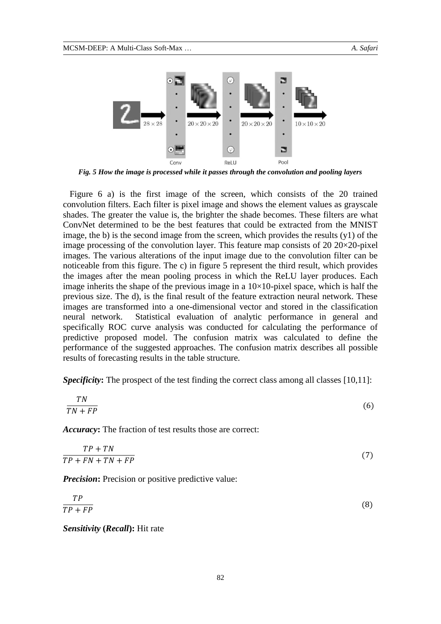

*Fig. 5 How the image is processed while it passes through the convolution and pooling layers*

Figure 6 a) is the first image of the screen, which consists of the 20 trained convolution filters. Each filter is pixel image and shows the element values as grayscale shades. The greater the value is, the brighter the shade becomes. These filters are what ConvNet determined to be the best features that could be extracted from the MNIST image, the b) is the second image from the screen, which provides the results (y1) of the image processing of the convolution layer. This feature map consists of 20  $20\times20$ -pixel images. The various alterations of the input image due to the convolution filter can be noticeable from this figure. The c) in figure 5 represent the third result, which provides the images after the mean pooling process in which the ReLU layer produces. Each image inherits the shape of the previous image in a  $10\times10$ -pixel space, which is half the previous size. The d), is the final result of the feature extraction neural network. These images are transformed into a one-dimensional vector and stored in the classification neural network. Statistical evaluation of analytic performance in general and specifically ROC curve analysis was conducted for calculating the performance of predictive proposed model. The confusion matrix was calculated to define the performance of the suggested approaches. The confusion matrix describes all possible results of forecasting results in the table structure.

**Specificity:** The prospect of the test finding the correct class among all classes [10,11]:

$$
\frac{TN}{TN + FP} \tag{6}
$$

*Accuracy***:** The fraction of test results those are correct:

$$
\frac{TP + TN}{TP + FN + TN + FP} \tag{7}
$$

*Precision*: Precision or positive predictive value:

$$
\frac{TP}{TP + FP} \tag{8}
$$

*Sensitivity* **(***Recall***):** Hit rate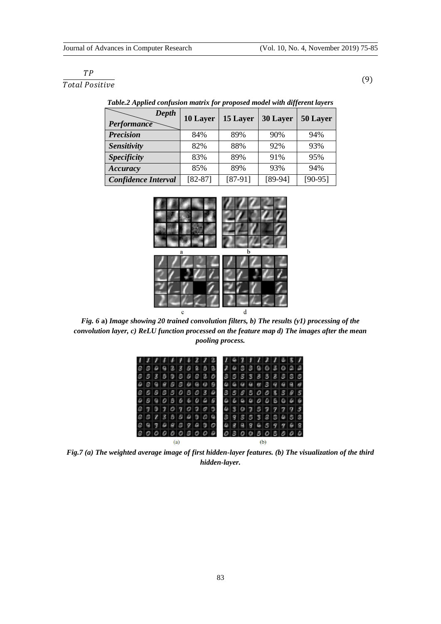# $TP$

 $\frac{1}{Total Positive}$  (9)

| Depth<br>Performance       | 10 Layer  | 15 Layer  | 30 Layer  | 50 Layer  |  |  |  |
|----------------------------|-----------|-----------|-----------|-----------|--|--|--|
| <b>Precision</b>           | 84%       | 89%       | 90%       | 94%       |  |  |  |
| <b>Sensitivity</b>         | 82%       | 88%       | 92%       | 93%       |  |  |  |
| <b>Specificity</b>         | 83%       | 89%       | 91%       | 95%       |  |  |  |
| Accuracy                   | 85%       | 89%       | 93%       | 94%       |  |  |  |
| <b>Confidence Interval</b> | $[82-87]$ | $[87-91]$ | $[89-94]$ | $[90-95]$ |  |  |  |

*Table.2 Applied confusion matrix for proposed model with different layers*



*Fig. 6* **a)** *Image showing 20 trained convolution filters, b) The results (y1) processing of the convolution layer, c) ReLU function processed on the feature map d) The images after the mean pooling process.*

|  |  |  |  |  |  | 11111222      |  |  | 631121651             |  |  |  |  |  |  |  |
|--|--|--|--|--|--|---------------|--|--|-----------------------|--|--|--|--|--|--|--|
|  |  |  |  |  |  | 000033000     |  |  | 2433003022            |  |  |  |  |  |  |  |
|  |  |  |  |  |  | 0033000000000 |  |  | 3 5 3 5 3 3 3 3 5 6 5 |  |  |  |  |  |  |  |
|  |  |  |  |  |  | 909899999999  |  |  | 06998899999           |  |  |  |  |  |  |  |
|  |  |  |  |  |  | 0000000030    |  |  | 3585008595            |  |  |  |  |  |  |  |
|  |  |  |  |  |  | 9990566096    |  |  | $6660006066$          |  |  |  |  |  |  |  |
|  |  |  |  |  |  | 070707020     |  |  | 4307577777            |  |  |  |  |  |  |  |
|  |  |  |  |  |  | QQQZZ3BQQQQQ  |  |  | 3955520458            |  |  |  |  |  |  |  |
|  |  |  |  |  |  | 09999809200   |  |  | 4899659968            |  |  |  |  |  |  |  |
|  |  |  |  |  |  | 0000000000    |  |  | 0300303000            |  |  |  |  |  |  |  |
|  |  |  |  |  |  |               |  |  |                       |  |  |  |  |  |  |  |

*Fig.7 (a) The weighted average image of first hidden-layer features. (b) The visualization of the third hidden-layer.*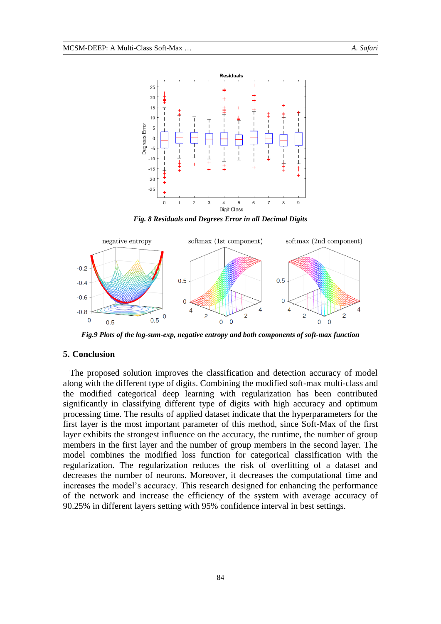

*Fig. 8 Residuals and Degrees Error in all Decimal Digits*



*Fig.9 Plots of the log-sum-exp, negative entropy and both components of soft-max function*

# **5. Conclusion**

The proposed solution improves the classification and detection accuracy of model along with the different type of digits. Combining the modified soft-max multi-class and the modified categorical deep learning with regularization has been contributed significantly in classifying different type of digits with high accuracy and optimum processing time. The results of applied dataset indicate that the hyperparameters for the first layer is the most important parameter of this method, since Soft-Max of the first layer exhibits the strongest influence on the accuracy, the runtime, the number of group members in the first layer and the number of group members in the second layer. The model combines the modified loss function for categorical classification with the regularization. The regularization reduces the risk of overfitting of a dataset and decreases the number of neurons. Moreover, it decreases the computational time and increases the model's accuracy. This research designed for enhancing the performance of the network and increase the efficiency of the system with average accuracy of 90.25% in different layers setting with 95% confidence interval in best settings.